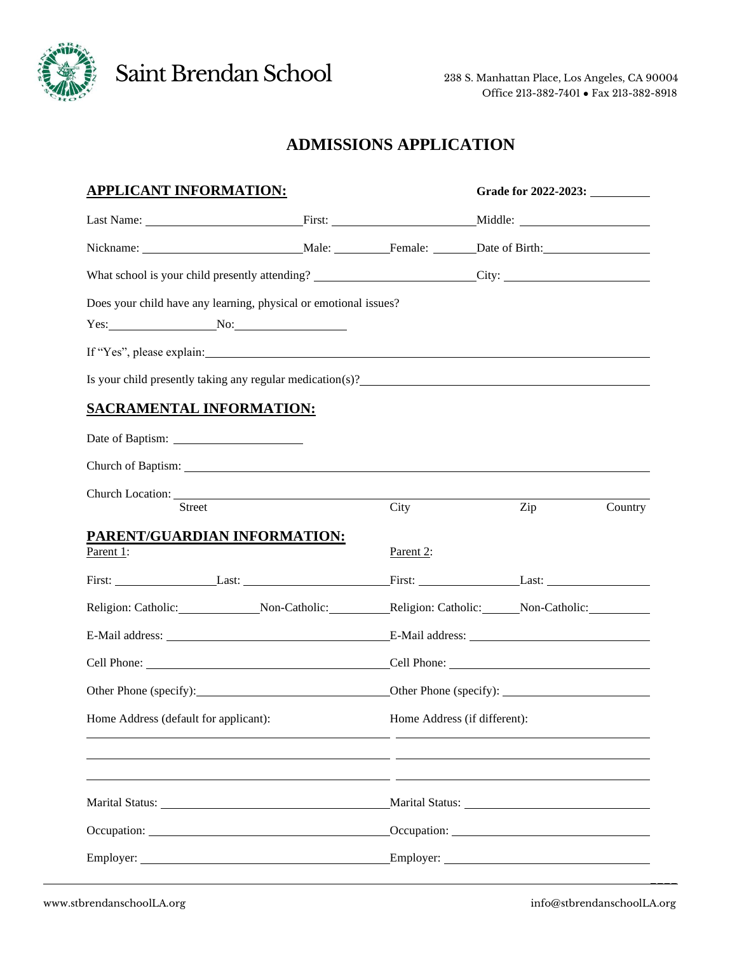

Saint Brendan School 238 S. Manhattan Place, Los Angeles, CA 90004

## **ADMISSIONS APPLICATION**

| <b>APPLICANT INFORMATION:</b>                                                                                                                                                                                                  |           |           |                              | Grade for 2022-2023: |         |  |
|--------------------------------------------------------------------------------------------------------------------------------------------------------------------------------------------------------------------------------|-----------|-----------|------------------------------|----------------------|---------|--|
|                                                                                                                                                                                                                                |           |           |                              |                      |         |  |
|                                                                                                                                                                                                                                |           |           |                              |                      |         |  |
|                                                                                                                                                                                                                                |           |           |                              |                      |         |  |
| Does your child have any learning, physical or emotional issues?<br>$Yes:$ No:                                                                                                                                                 |           |           |                              |                      |         |  |
| If "Yes", please explain: example and the state of the state of the state of the state of the state of the state of the state of the state of the state of the state of the state of the state of the state of the state of th |           |           |                              |                      |         |  |
| Is your child presently taking any regular medication(s)?<br><u>Letting</u> the second presently taking any regular medication(s)?                                                                                             |           |           |                              |                      |         |  |
| <b>SACRAMENTAL INFORMATION:</b>                                                                                                                                                                                                |           |           |                              |                      |         |  |
|                                                                                                                                                                                                                                |           |           |                              |                      |         |  |
| Church of Baptism:                                                                                                                                                                                                             |           |           |                              |                      |         |  |
| Church Location:<br>Street                                                                                                                                                                                                     |           | City      |                              | Zip                  | Country |  |
| PARENT/GUARDIAN INFORMATION:<br>Parent 1:                                                                                                                                                                                      |           | Parent 2: |                              |                      |         |  |
| First: Last: Last: Last: First: Last: Last: Last: Last: Last: Last: Last: Last: Last: Last: Last: Last: Last: Last: Last: Last: Last: Last: Last: Last: Last: Last: Last: Last: Last: Last: Last: Last: Last: Last: Last: Last |           |           |                              |                      |         |  |
|                                                                                                                                                                                                                                |           |           |                              |                      |         |  |
|                                                                                                                                                                                                                                |           |           |                              |                      |         |  |
|                                                                                                                                                                                                                                |           |           |                              |                      |         |  |
|                                                                                                                                                                                                                                |           |           |                              |                      |         |  |
| Home Address (default for applicant):                                                                                                                                                                                          |           |           | Home Address (if different): |                      |         |  |
|                                                                                                                                                                                                                                |           |           |                              |                      |         |  |
|                                                                                                                                                                                                                                |           |           |                              |                      |         |  |
|                                                                                                                                                                                                                                |           |           |                              |                      |         |  |
|                                                                                                                                                                                                                                |           |           |                              |                      |         |  |
|                                                                                                                                                                                                                                | Employer: |           |                              |                      |         |  |